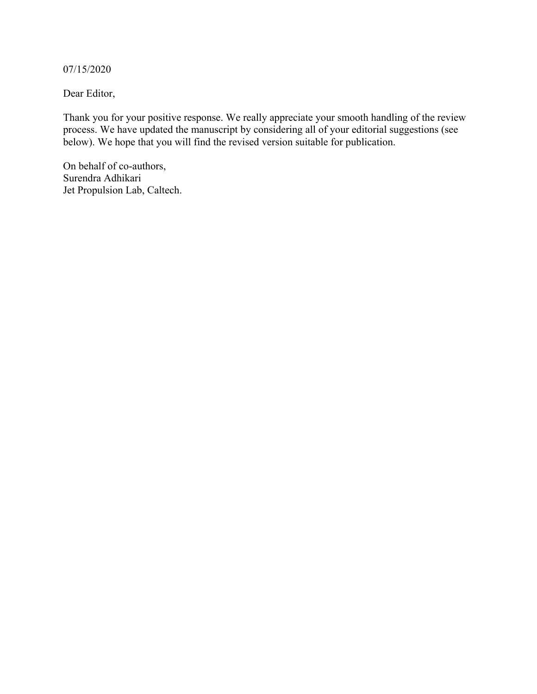07/15/2020

Dear Editor,

Thank you for your positive response. We really appreciate your smooth handling of the review process. We have updated the manuscript by considering all of your editorial suggestions (see below). We hope that you will find the revised version suitable for publication.

On behalf of co-authors, Surendra Adhikari Jet Propulsion Lab, Caltech.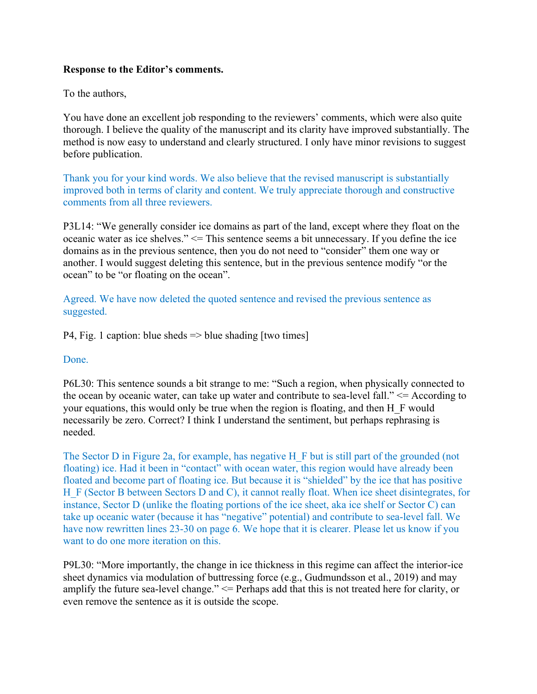## **Response to the Editor's comments.**

To the authors,

You have done an excellent job responding to the reviewers' comments, which were also quite thorough. I believe the quality of the manuscript and its clarity have improved substantially. The method is now easy to understand and clearly structured. I only have minor revisions to suggest before publication.

Thank you for your kind words. We also believe that the revised manuscript is substantially improved both in terms of clarity and content. We truly appreciate thorough and constructive comments from all three reviewers.

P3L14: "We generally consider ice domains as part of the land, except where they float on the oceanic water as ice shelves." <= This sentence seems a bit unnecessary. If you define the ice domains as in the previous sentence, then you do not need to "consider" them one way or another. I would suggest deleting this sentence, but in the previous sentence modify "or the ocean" to be "or floating on the ocean".

Agreed. We have now deleted the quoted sentence and revised the previous sentence as suggested.

P4, Fig. 1 caption: blue sheds => blue shading [two times]

## Done.

P6L30: This sentence sounds a bit strange to me: "Such a region, when physically connected to the ocean by oceanic water, can take up water and contribute to sea-level fall." $\leq$  According to your equations, this would only be true when the region is floating, and then H\_F would necessarily be zero. Correct? I think I understand the sentiment, but perhaps rephrasing is needed.

The Sector D in Figure 2a, for example, has negative H F but is still part of the grounded (not floating) ice. Had it been in "contact" with ocean water, this region would have already been floated and become part of floating ice. But because it is "shielded" by the ice that has positive H F (Sector B between Sectors D and C), it cannot really float. When ice sheet disintegrates, for instance, Sector D (unlike the floating portions of the ice sheet, aka ice shelf or Sector C) can take up oceanic water (because it has "negative" potential) and contribute to sea-level fall. We have now rewritten lines 23-30 on page 6. We hope that it is clearer. Please let us know if you want to do one more iteration on this.

P9L30: "More importantly, the change in ice thickness in this regime can affect the interior-ice sheet dynamics via modulation of buttressing force (e.g., Gudmundsson et al., 2019) and may amplify the future sea-level change." <= Perhaps add that this is not treated here for clarity, or even remove the sentence as it is outside the scope.